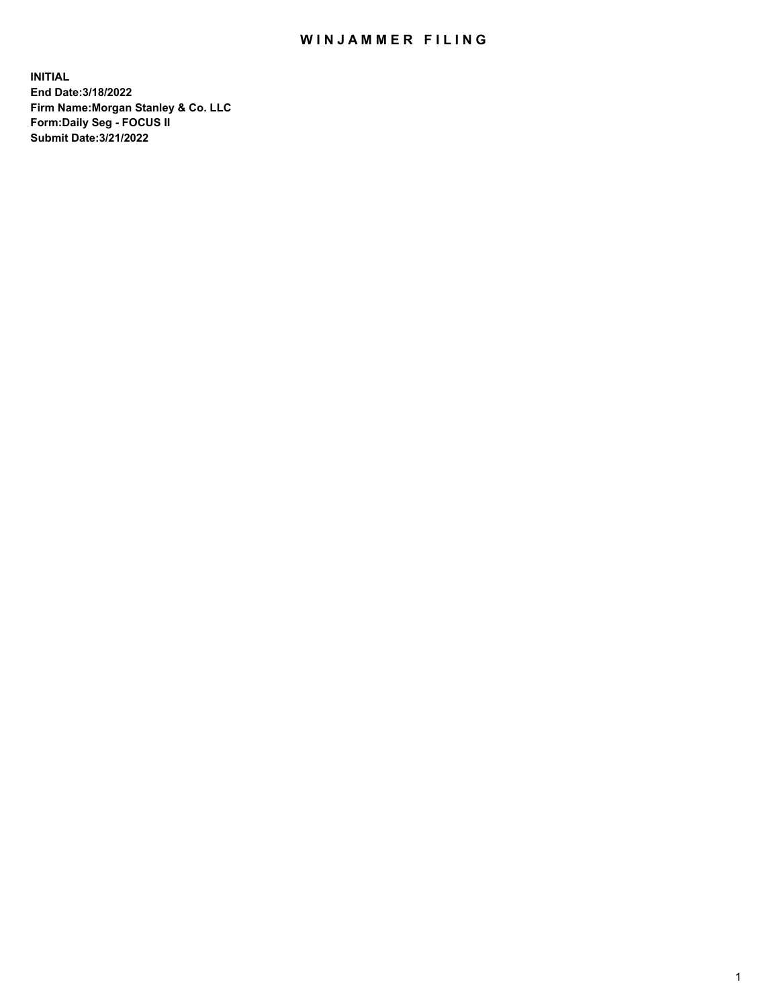## WIN JAMMER FILING

**INITIAL End Date:3/18/2022 Firm Name:Morgan Stanley & Co. LLC Form:Daily Seg - FOCUS II Submit Date:3/21/2022**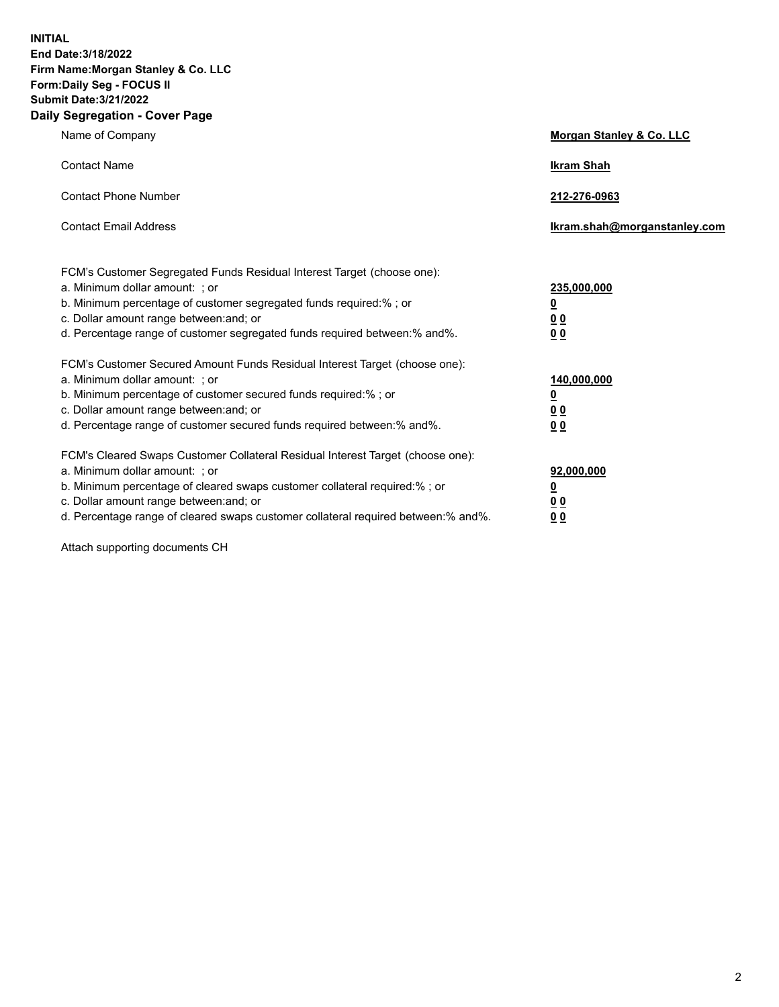**INITIAL End Date:3/18/2022 Firm Name:Morgan Stanley & Co. LLC Form:Daily Seg - FOCUS II Submit Date:3/21/2022 Daily Segregation - Cover Page**

| Name of Company                                                                                                                                                                                                                                                                                                                | Morgan Stanley & Co. LLC                               |
|--------------------------------------------------------------------------------------------------------------------------------------------------------------------------------------------------------------------------------------------------------------------------------------------------------------------------------|--------------------------------------------------------|
| <b>Contact Name</b>                                                                                                                                                                                                                                                                                                            | <b>Ikram Shah</b>                                      |
| <b>Contact Phone Number</b>                                                                                                                                                                                                                                                                                                    | 212-276-0963                                           |
| <b>Contact Email Address</b>                                                                                                                                                                                                                                                                                                   | Ikram.shah@morganstanley.com                           |
| FCM's Customer Segregated Funds Residual Interest Target (choose one):<br>a. Minimum dollar amount: ; or<br>b. Minimum percentage of customer segregated funds required:% ; or<br>c. Dollar amount range between: and; or<br>d. Percentage range of customer segregated funds required between:% and%.                         | 235,000,000<br><u>0</u><br>0 <sup>0</sup><br><u>00</u> |
| FCM's Customer Secured Amount Funds Residual Interest Target (choose one):<br>a. Minimum dollar amount: ; or<br>b. Minimum percentage of customer secured funds required:% ; or<br>c. Dollar amount range between: and; or<br>d. Percentage range of customer secured funds required between:% and%.                           | 140,000,000<br><u>0</u><br><u>00</u><br>00             |
| FCM's Cleared Swaps Customer Collateral Residual Interest Target (choose one):<br>a. Minimum dollar amount: ; or<br>b. Minimum percentage of cleared swaps customer collateral required:% ; or<br>c. Dollar amount range between: and; or<br>d. Percentage range of cleared swaps customer collateral required between:% and%. | 92,000,000<br><u>0</u><br><u>00</u><br>00              |

Attach supporting documents CH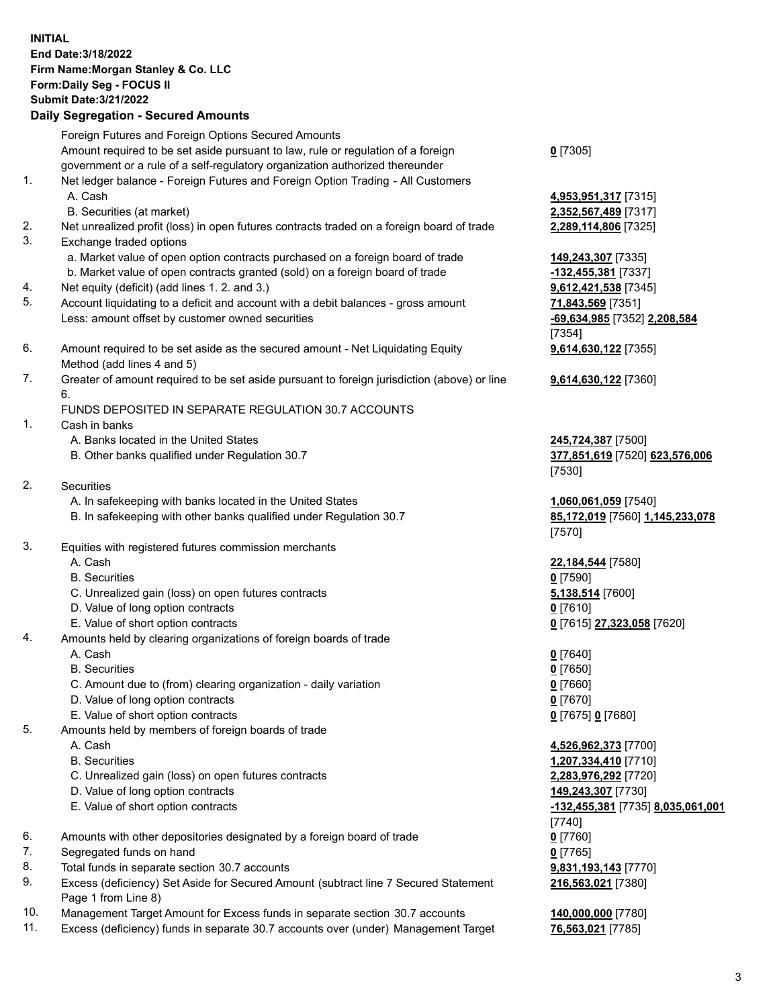## **INITIAL End Date:3/18/2022 Firm Name:Morgan Stanley & Co. LLC Form:Daily Seg - FOCUS II Submit Date:3/21/2022 Daily Segregation - Secured Amounts** Foreign Futures and Foreign Options Secured Amounts Amount required to be set aside pursuant to law, rule or regulation of a foreign government or a rule of a self-regulatory organization authorized thereunder 1. Net ledger balance - Foreign Futures and Foreign Option Trading - All Customers A. Cash **4,953,951,317** [7315] B. Securities (at market) **2,352,567,489** [7317] 2. Net unrealized profit (loss) in open futures contracts traded on a foreign board of trade **2,289,114,806** [7325] 3. Exchange traded options a. Market value of open option contracts purchased on a foreign board of trade **149,243,307** [7335] b. Market value of open contracts granted (sold) on a foreign board of trade **-132,455,381** [7337] 4. Net equity (deficit) (add lines 1. 2. and 3.) **9,612,421,538** [7345] 5. Account liquidating to a deficit and account with a debit balances - gross amount **71,843,569** [7351] Less: amount offset by customer owned securities **-69,634,985** [7352] **2,208,584** 6. Amount required to be set aside as the secured amount - Net Liquidating Equity Method (add lines 4 and 5) 7. Greater of amount required to be set aside pursuant to foreign jurisdiction (above) or line 6. FUNDS DEPOSITED IN SEPARATE REGULATION 30.7 ACCOUNTS 1. Cash in banks A. Banks located in the United States **245,724,387** [7500] B. Other banks qualified under Regulation 30.7 **377,851,619** [7520] **623,576,006** 2. Securities A. In safekeeping with banks located in the United States **1,060,061,059** [7540] B. In safekeeping with other banks qualified under Regulation 30.7 **85,172,019** [7560] **1,145,233,078** 3. Equities with registered futures commission merchants A. Cash **22,184,544** [7580] B. Securities **0** [7590] C. Unrealized gain (loss) on open futures contracts **5,138,514** [7600] D. Value of long option contracts **0** [7610] E. Value of short option contracts **0** [7615] **27,323,058** [7620] 4. Amounts held by clearing organizations of foreign boards of trade A. Cash **0** [7640] B. Securities **0** [7650] C. Amount due to (from) clearing organization - daily variation **0** [7660] D. Value of long option contracts **0** [7670] E. Value of short option contracts **0** [7675] **0** [7680] 5. Amounts held by members of foreign boards of trade

- 
- 
- C. Unrealized gain (loss) on open futures contracts **2,283,976,292** [7720]
- D. Value of long option contracts **149,243,307** [7730]
- 
- 6. Amounts with other depositories designated by a foreign board of trade **0** [7760]
- 7. Segregated funds on hand **0** [7765]
- 8. Total funds in separate section 30.7 accounts **9,831,193,143** [7770]
- 9. Excess (deficiency) Set Aside for Secured Amount (subtract line 7 Secured Statement Page 1 from Line 8)
- 10. Management Target Amount for Excess funds in separate section 30.7 accounts **140,000,000** [7780]
- 11. Excess (deficiency) funds in separate 30.7 accounts over (under) Management Target **76,563,021** [7785]

**0** [7305]

[7354] **9,614,630,122** [7355]

**9,614,630,122** [7360]

[7530]

[7570]

 A. Cash **4,526,962,373** [7700] B. Securities **1,207,334,410** [7710] E. Value of short option contracts **-132,455,381** [7735] **8,035,061,001** [7740] **216,563,021** [7380]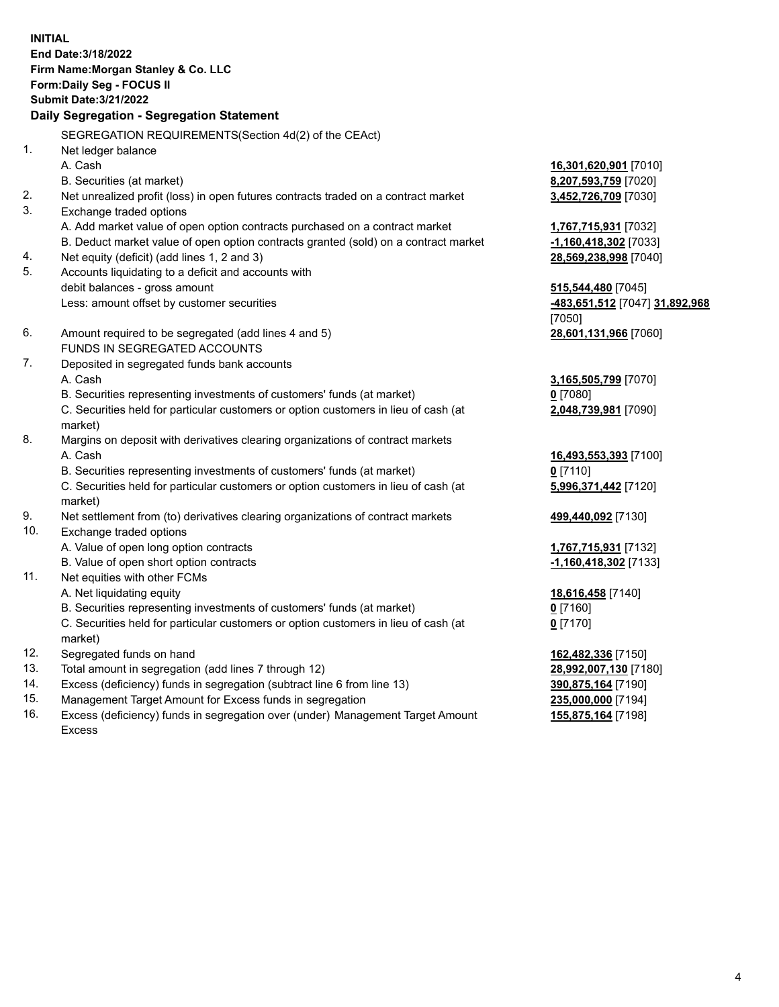**INITIAL End Date:3/18/2022 Firm Name:Morgan Stanley & Co. LLC Form:Daily Seg - FOCUS II Submit Date:3/21/2022 Daily Segregation - Segregation Statement** SEGREGATION REQUIREMENTS(Section 4d(2) of the CEAct) 1. Net ledger balance A. Cash **16,301,620,901** [7010] B. Securities (at market) **8,207,593,759** [7020] 2. Net unrealized profit (loss) in open futures contracts traded on a contract market **3,452,726,709** [7030] 3. Exchange traded options A. Add market value of open option contracts purchased on a contract market **1,767,715,931** [7032] B. Deduct market value of open option contracts granted (sold) on a contract market **-1,160,418,302** [7033] 4. Net equity (deficit) (add lines 1, 2 and 3) **28,569,238,998** [7040] 5. Accounts liquidating to a deficit and accounts with debit balances - gross amount **515,544,480** [7045] Less: amount offset by customer securities **-483,651,512** [7047] **31,892,968** [7050] 6. Amount required to be segregated (add lines 4 and 5) **28,601,131,966** [7060] FUNDS IN SEGREGATED ACCOUNTS 7. Deposited in segregated funds bank accounts A. Cash **3,165,505,799** [7070] B. Securities representing investments of customers' funds (at market) **0** [7080] C. Securities held for particular customers or option customers in lieu of cash (at market) **2,048,739,981** [7090] 8. Margins on deposit with derivatives clearing organizations of contract markets A. Cash **16,493,553,393** [7100] B. Securities representing investments of customers' funds (at market) **0** [7110] C. Securities held for particular customers or option customers in lieu of cash (at market) **5,996,371,442** [7120] 9. Net settlement from (to) derivatives clearing organizations of contract markets **499,440,092** [7130] 10. Exchange traded options A. Value of open long option contracts **1,767,715,931** [7132] B. Value of open short option contracts **-1,160,418,302** [7133] 11. Net equities with other FCMs A. Net liquidating equity **18,616,458** [7140] B. Securities representing investments of customers' funds (at market) **0** [7160] C. Securities held for particular customers or option customers in lieu of cash (at market) **0** [7170] 12. Segregated funds on hand **162,482,336** [7150] 13. Total amount in segregation (add lines 7 through 12) **28,992,007,130** [7180] 14. Excess (deficiency) funds in segregation (subtract line 6 from line 13) **390,875,164** [7190] 15. Management Target Amount for Excess funds in segregation **235,000,000** [7194]

16. Excess (deficiency) funds in segregation over (under) Management Target Amount Excess

**155,875,164** [7198]